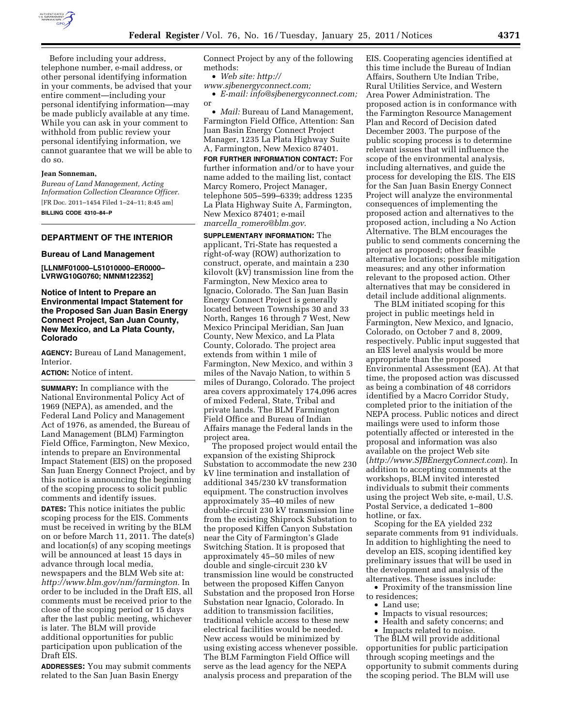

Before including your address, telephone number, e-mail address, or other personal identifying information in your comments, be advised that your entire comment—including your personal identifying information—may be made publicly available at any time. While you can ask in your comment to withhold from public review your personal identifying information, we cannot guarantee that we will be able to do so.

### **Jean Sonneman,**

*Bureau of Land Management, Acting Information Collection Clearance Officer.*  [FR Doc. 2011–1454 Filed 1–24–11; 8:45 am] **BILLING CODE 4310–84–P** 

### **DEPARTMENT OF THE INTERIOR**

#### **Bureau of Land Management**

**[LLNMF01000–L51010000–ER0000– LVRWG10G0760; NMNM122352]** 

## **Notice of Intent to Prepare an Environmental Impact Statement for the Proposed San Juan Basin Energy Connect Project, San Juan County, New Mexico, and La Plata County, Colorado**

**AGENCY:** Bureau of Land Management, Interior.

#### **ACTION:** Notice of intent.

**SUMMARY:** In compliance with the National Environmental Policy Act of 1969 (NEPA), as amended, and the Federal Land Policy and Management Act of 1976, as amended, the Bureau of Land Management (BLM) Farmington Field Office, Farmington, New Mexico, intends to prepare an Environmental Impact Statement (EIS) on the proposed San Juan Energy Connect Project, and by this notice is announcing the beginning of the scoping process to solicit public comments and identify issues. **DATES:** This notice initiates the public scoping process for the EIS. Comments must be received in writing by the BLM on or before March 11, 2011. The date(s) and location(s) of any scoping meetings will be announced at least 15 days in advance through local media, newspapers and the BLM Web site at: *[http://www.blm.gov/nm/farmington.](http://www.blm.gov/nm/farmington)* In order to be included in the Draft EIS, all comments must be received prior to the close of the scoping period or 15 days after the last public meeting, whichever is later. The BLM will provide additional opportunities for public participation upon publication of the Draft EIS.

**ADDRESSES:** You may submit comments related to the San Juan Basin Energy

Connect Project by any of the following methods:

• *Web site: [http://](http://www.sjbenergyconnect.com)* 

*[www.sjbenergyconnect.com;](http://www.sjbenergyconnect.com)* 

• *E-mail: [info@sjbenergyconnect.com;](mailto:info@sjbenergyconnect.com)*  or

• *Mail:* Bureau of Land Management, Farmington Field Office, Attention: San Juan Basin Energy Connect Project Manager, 1235 La Plata Highway Suite A, Farmington, New Mexico 87401.

**FOR FURTHER INFORMATION CONTACT:** For further information and/or to have your name added to the mailing list, contact Marcy Romero, Project Manager, telephone 505–599–6339; address 1235 La Plata Highway Suite A, Farmington, New Mexico 87401; e-mail *marcella*\_*[romero@blm.gov](mailto:marcella_romero@blm.gov)*.

**SUPPLEMENTARY INFORMATION:** The applicant, Tri-State has requested a right-of-way (ROW) authorization to construct, operate, and maintain a 230 kilovolt (kV) transmission line from the Farmington, New Mexico area to Ignacio, Colorado. The San Juan Basin Energy Connect Project is generally located between Townships 30 and 33 North, Ranges 16 through 7 West, New Mexico Principal Meridian, San Juan County, New Mexico, and La Plata County, Colorado. The project area extends from within 1 mile of Farmington, New Mexico, and within 3 miles of the Navajo Nation, to within 5 miles of Durango, Colorado. The project area covers approximately 174,096 acres of mixed Federal, State, Tribal and private lands. The BLM Farmington Field Office and Bureau of Indian Affairs manage the Federal lands in the project area.

The proposed project would entail the expansion of the existing Shiprock Substation to accommodate the new 230 kV line termination and installation of additional 345/230 kV transformation equipment. The construction involves approximately 35–40 miles of new double-circuit 230 kV transmission line from the existing Shiprock Substation to the proposed Kiffen Canyon Substation near the City of Farmington's Glade Switching Station. It is proposed that approximately 45–50 miles of new double and single-circuit 230 kV transmission line would be constructed between the proposed Kiffen Canyon Substation and the proposed Iron Horse Substation near Ignacio, Colorado. In addition to transmission facilities, traditional vehicle access to these new electrical facilities would be needed. New access would be minimized by using existing access whenever possible. The BLM Farmington Field Office will serve as the lead agency for the NEPA analysis process and preparation of the

EIS. Cooperating agencies identified at this time include the Bureau of Indian Affairs, Southern Ute Indian Tribe, Rural Utilities Service, and Western Area Power Administration. The proposed action is in conformance with the Farmington Resource Management Plan and Record of Decision dated December 2003. The purpose of the public scoping process is to determine relevant issues that will influence the scope of the environmental analysis, including alternatives, and guide the process for developing the EIS. The EIS for the San Juan Basin Energy Connect Project will analyze the environmental consequences of implementing the proposed action and alternatives to the proposed action, including a No Action Alternative. The BLM encourages the public to send comments concerning the project as proposed; other feasible alternative locations; possible mitigation measures; and any other information relevant to the proposed action. Other alternatives that may be considered in detail include additional alignments.

The BLM initiated scoping for this project in public meetings held in Farmington, New Mexico, and Ignacio, Colorado, on October 7 and 8, 2009, respectively. Public input suggested that an EIS level analysis would be more appropriate than the proposed Environmental Assessment (EA). At that time, the proposed action was discussed as being a combination of 48 corridors identified by a Macro Corridor Study, completed prior to the initiation of the NEPA process. Public notices and direct mailings were used to inform those potentially affected or interested in the proposal and information was also available on the project Web site (*<http://www.SJBEnergyConnect.com>*). In addition to accepting comments at the workshops, BLM invited interested individuals to submit their comments using the project Web site, e-mail, U.S. Postal Service, a dedicated 1–800 hotline, or fax.

Scoping for the EA yielded 232 separate comments from 91 individuals. In addition to highlighting the need to develop an EIS, scoping identified key preliminary issues that will be used in the development and analysis of the alternatives. These issues include:

• Proximity of the transmission line to residences;

- Land use;
- Impacts to visual resources;
- Health and safety concerns; and
- Impacts related to noise.

The BLM will provide additional opportunities for public participation through scoping meetings and the opportunity to submit comments during the scoping period. The BLM will use